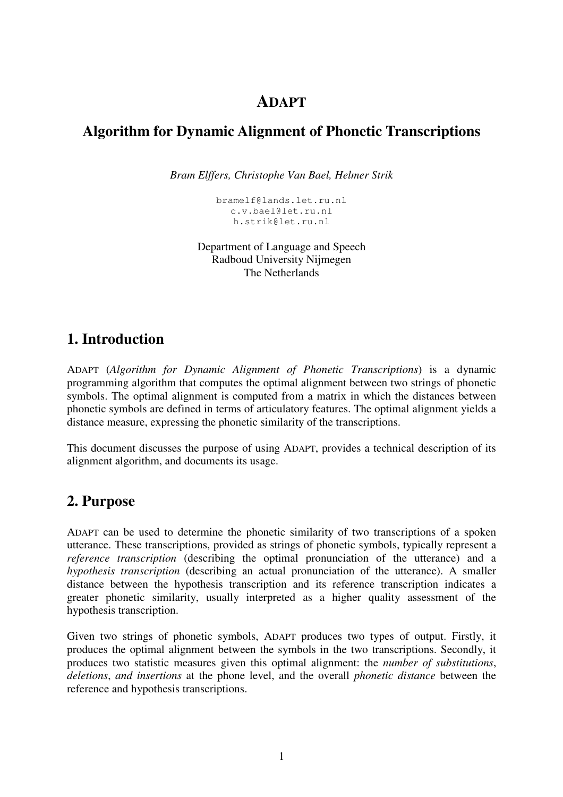#### **ADAPT**

### **Algorithm for Dynamic Alignment of Phonetic Transcriptions**

*Bram Elffers, Christophe Van Bael, Helmer Strik*

bramelf@lands.let.ru.nl c.v.bael@let.ru.nl h.strik@let.ru.nl

Department of Language and Speech Radboud University Nijmegen The Netherlands

## **1. Introduction**

ADAPT (*Algorithm for Dynamic Alignment of Phonetic Transcriptions*) is a dynamic programming algorithm that computes the optimal alignment between two strings of phonetic symbols. The optimal alignment is computed from a matrix in which the distances between phonetic symbols are defined in terms of articulatory features. The optimal alignment yields a distance measure, expressing the phonetic similarity of the transcriptions.

This document discusses the purpose of using ADAPT, provides a technical description of its alignment algorithm, and documents its usage.

### **2. Purpose**

ADAPT can be used to determine the phonetic similarity of two transcriptions of a spoken utterance. These transcriptions, provided as strings of phonetic symbols, typically represent a *reference transcription* (describing the optimal pronunciation of the utterance) and a *hypothesis transcription* (describing an actual pronunciation of the utterance). A smaller distance between the hypothesis transcription and its reference transcription indicates a greater phonetic similarity, usually interpreted as a higher quality assessment of the hypothesis transcription.

Given two strings of phonetic symbols, ADAPT produces two types of output. Firstly, it produces the optimal alignment between the symbols in the two transcriptions. Secondly, it produces two statistic measures given this optimal alignment: the *number of substitutions*, *deletions*, *and insertions* at the phone level, and the overall *phonetic distance* between the reference and hypothesis transcriptions.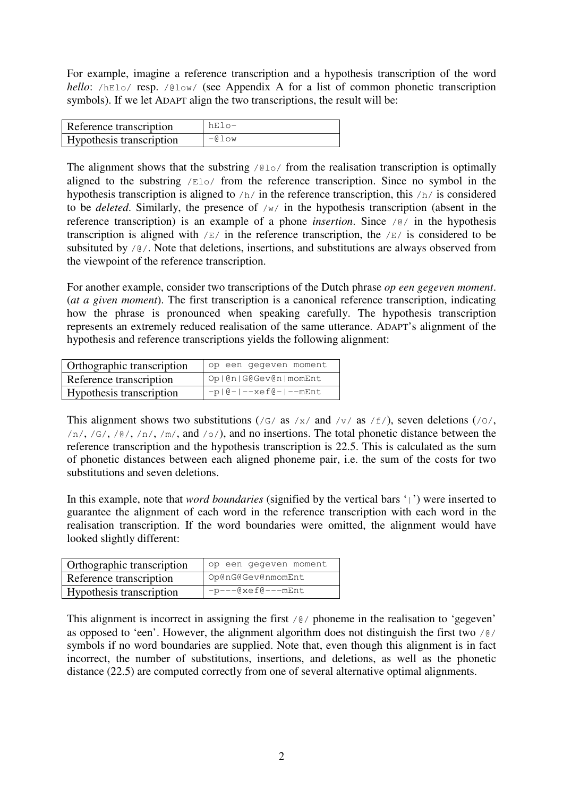For example, imagine a reference transcription and a hypothesis transcription of the word *hello*: /hElo/ resp. /@low/ (see Appendix A for a list of common phonetic transcription symbols). If we let ADAPT align the two transcriptions, the result will be:

| Reference transcription  | hElo-       |
|--------------------------|-------------|
| Hypothesis transcription | $-0$ $\log$ |

The alignment shows that the substring  $/Q$  o  $/Q$  from the realisation transcription is optimally aligned to the substring /Elo/ from the reference transcription. Since no symbol in the hypothesis transcription is aligned to /h/ in the reference transcription, this /h/ is considered to be *deleted*. Similarly, the presence of /w/ in the hypothesis transcription (absent in the reference transcription) is an example of a phone *insertion*. Since /@/ in the hypothesis transcription is aligned with  $/E /$  in the reference transcription, the  $/E /$  is considered to be subsituted by  $\sqrt{\theta}$ . Note that deletions, insertions, and substitutions are always observed from the viewpoint of the reference transcription.

For another example, consider two transcriptions of the Dutch phrase *op een gegeven moment*. (*at a given moment*). The first transcription is a canonical reference transcription, indicating how the phrase is pronounced when speaking carefully. The hypothesis transcription represents an extremely reduced realisation of the same utterance. ADAPT's alignment of the hypothesis and reference transcriptions yields the following alignment:

| Orthographic transcription | op een gegeven moment                   |  |  |  |  |
|----------------------------|-----------------------------------------|--|--|--|--|
| Reference transcription    | Op   @n   G@Gev@n   momEnt              |  |  |  |  |
| Hypothesis transcription   | $-p$   $Q -$   $-xeff$ $q -$   $-me$ nt |  |  |  |  |

This alignment shows two substitutions (/G/ as /x/ and /v/ as /f/), seven deletions (/ $\circ$ /,  $/n/$ ,  $/G/$ ,  $/G/$ ,  $/n/$ ,  $/m/$ , and  $/\circ$ ), and no insertions. The total phonetic distance between the reference transcription and the hypothesis transcription is 22.5. This is calculated as the sum of phonetic distances between each aligned phoneme pair, i.e. the sum of the costs for two substitutions and seven deletions.

In this example, note that *word boundaries* (signified by the vertical bars '|') were inserted to guarantee the alignment of each word in the reference transcription with each word in the realisation transcription. If the word boundaries were omitted, the alignment would have looked slightly different:

| Orthographic transcription | op een gegeven moment |  |  |  |  |
|----------------------------|-----------------------|--|--|--|--|
| Reference transcription    | Op@nG@Gev@nmomEnt     |  |  |  |  |
| Hypothesis transcription   | $-p---@xef@---mEnt$   |  |  |  |  |

This alignment is incorrect in assigning the first  $\sqrt{\frac{g}{\rho}}$  phoneme in the realisation to 'gegeven' as opposed to 'een'. However, the alignment algorithm does not distinguish the first two  $\frac{1}{e}$ symbols if no word boundaries are supplied. Note that, even though this alignment is in fact incorrect, the number of substitutions, insertions, and deletions, as well as the phonetic distance (22.5) are computed correctly from one of several alternative optimal alignments.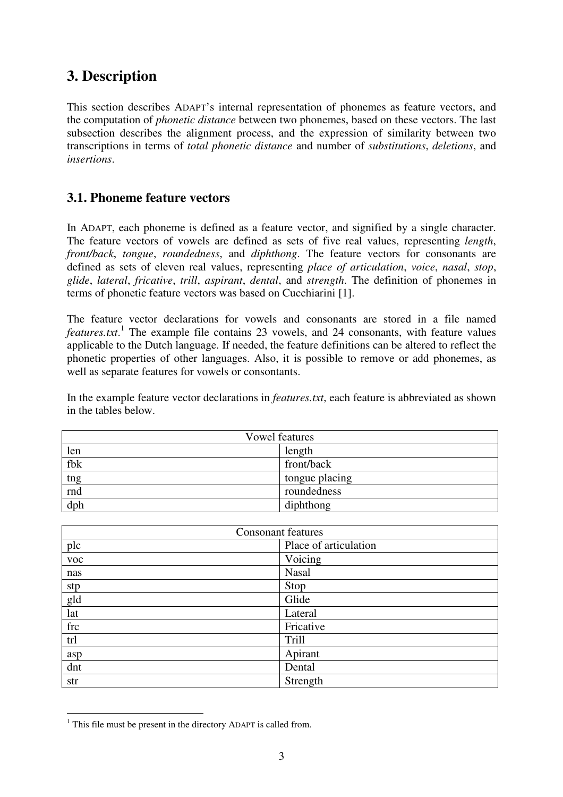## **3. Description**

This section describes ADAPT's internal representation of phonemes as feature vectors, and the computation of *phonetic distance* between two phonemes, based on these vectors. The last subsection describes the alignment process, and the expression of similarity between two transcriptions in terms of *total phonetic distance* and number of *substitutions*, *deletions*, and *insertions*.

#### **3.1. Phoneme feature vectors**

In ADAPT, each phoneme is defined as a feature vector, and signified by a single character. The feature vectors of vowels are defined as sets of five real values, representing *length*, *front/back*, *tongue*, *roundedness*, and *diphthong*. The feature vectors for consonants are defined as sets of eleven real values, representing *place of articulation*, *voice*, *nasal*, *stop*, *glide*, *lateral*, *fricative*, *trill*, *aspirant*, *dental*, and *strength*. The definition of phonemes in terms of phonetic feature vectors was based on Cucchiarini [1].

The feature vector declarations for vowels and consonants are stored in a file named *features.txt*. 1 The example file contains 23 vowels, and 24 consonants, with feature values applicable to the Dutch language. If needed, the feature definitions can be altered to reflect the phonetic properties of other languages. Also, it is possible to remove or add phonemes, as well as separate features for vowels or consontants.

In the example feature vector declarations in *features.txt*, each feature is abbreviated as shown in the tables below.

| <b>Vowel features</b>           |                |  |  |  |
|---------------------------------|----------------|--|--|--|
| len                             | length         |  |  |  |
| fbk                             | front/back     |  |  |  |
| $\frac{\text{tng}}{\text{rnd}}$ | tongue placing |  |  |  |
|                                 | roundedness    |  |  |  |
| dph                             | diphthong      |  |  |  |

| <b>Consonant features</b> |                       |  |  |
|---------------------------|-----------------------|--|--|
| plc                       | Place of articulation |  |  |
| voc                       | Voicing               |  |  |
| nas                       | <b>Nasal</b>          |  |  |
| stp                       | Stop                  |  |  |
| gld                       | Glide                 |  |  |
| lat                       | Lateral               |  |  |
| frc                       | Fricative             |  |  |
| trl                       | Trill                 |  |  |
| asp                       | Apirant               |  |  |
| dnt                       | Dental                |  |  |
| str                       | Strength              |  |  |

<sup>&</sup>lt;sup>1</sup> This file must be present in the directory ADAPT is called from.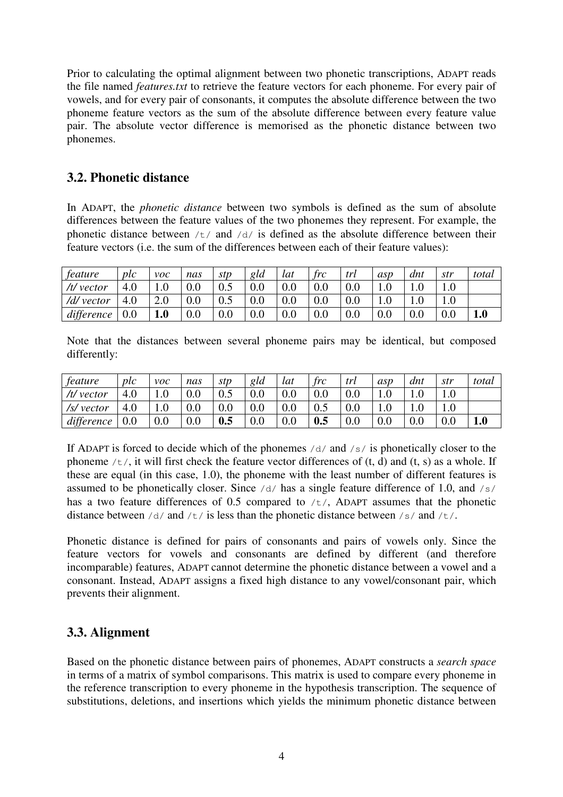Prior to calculating the optimal alignment between two phonetic transcriptions, ADAPT reads the file named *features.txt* to retrieve the feature vectors for each phoneme. For every pair of vowels, and for every pair of consonants, it computes the absolute difference between the two phoneme feature vectors as the sum of the absolute difference between every feature value pair. The absolute vector difference is memorised as the phonetic distance between two phonemes.

#### **3.2. Phonetic distance**

In ADAPT, the *phonetic distance* between two symbols is defined as the sum of absolute differences between the feature values of the two phonemes they represent. For example, the phonetic distance between  $/t /$  and  $/d /$  is defined as the absolute difference between their feature vectors (i.e. the sum of the differences between each of their feature values):

| feature      | plc | $\nu$ oc | nas | stp | gld | lat | frc | trl | asp | dnt | str | total |
|--------------|-----|----------|-----|-----|-----|-----|-----|-----|-----|-----|-----|-------|
| $/t$ /vector | 4.0 | 1.0      | 0.0 | 0.5 | 0.0 | 0.0 | 0.0 | 0.0 |     |     |     |       |
| /d/ vector   | 4.0 | 2.0      | 0.0 | 0.5 | 0.0 | 0.0 | 0.0 | 0.0 |     |     |     |       |
| difference   | 0.0 | 1.0      | 0.0 | 0.0 | 0.0 | 0.0 | 0.0 | 0.0 | 0.0 | 0.0 | 0.0 | 1.0   |

Note that the distances between several phoneme pairs may be identical, but composed differently:

| feature      | plc | $\nu$ oc | nas | stp | gld | lat | $\int r c$ | trl | asp | dnt | str | total |
|--------------|-----|----------|-----|-----|-----|-----|------------|-----|-----|-----|-----|-------|
| $/t$ /vector | 4.0 | 1.0      | 0.0 | 0.5 | 0.0 | 0.0 | 0.0        | 0.0 |     |     |     |       |
| /s/ vector   | 4.0 | $1.0\,$  | 0.0 | 0.0 | 0.0 | 0.0 | 0.5        | 0.0 |     |     |     |       |
| difference   | 0.0 | 0.0      | 0.0 | 0.5 | 0.0 | 0.0 | 0.5        | 0.0 | 0.0 | 0.0 | 0.0 | 1.0   |

If ADAPT is forced to decide which of the phonemes  $/d$  and  $/s$  is phonetically closer to the phoneme  $/t/$ , it will first check the feature vector differences of  $(t, d)$  and  $(t, s)$  as a whole. If these are equal (in this case, 1.0), the phoneme with the least number of different features is assumed to be phonetically closer. Since  $/d$  has a single feature difference of 1.0, and  $/s$ has a two feature differences of 0.5 compared to  $/t/$ , ADAPT assumes that the phonetic distance between  $/d$  and  $/t$  is less than the phonetic distance between  $/s$  and  $/t$ .

Phonetic distance is defined for pairs of consonants and pairs of vowels only. Since the feature vectors for vowels and consonants are defined by different (and therefore incomparable) features, ADAPT cannot determine the phonetic distance between a vowel and a consonant. Instead, ADAPT assigns a fixed high distance to any vowel/consonant pair, which prevents their alignment.

#### **3.3. Alignment**

Based on the phonetic distance between pairs of phonemes, ADAPT constructs a *search space* in terms of a matrix of symbol comparisons. This matrix is used to compare every phoneme in the reference transcription to every phoneme in the hypothesis transcription. The sequence of substitutions, deletions, and insertions which yields the minimum phonetic distance between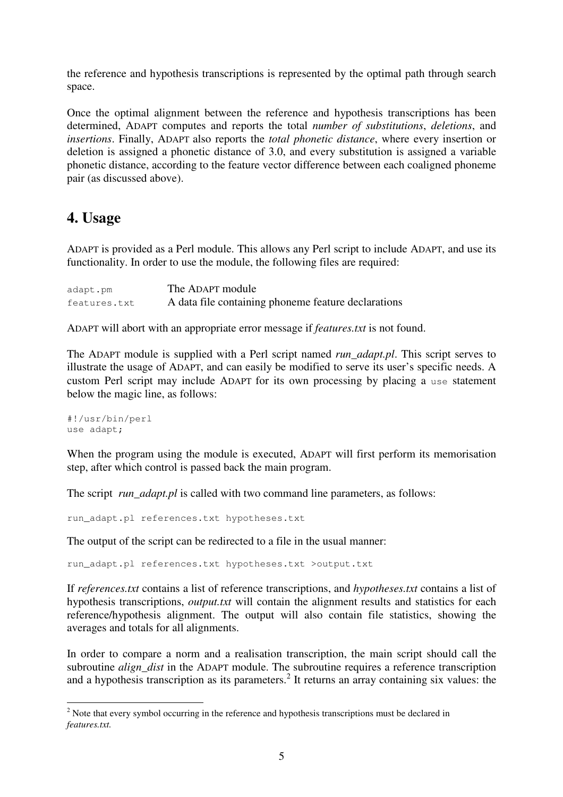the reference and hypothesis transcriptions is represented by the optimal path through search space.

Once the optimal alignment between the reference and hypothesis transcriptions has been determined, ADAPT computes and reports the total *number of substitutions*, *deletions*, and *insertions*. Finally, ADAPT also reports the *total phonetic distance*, where every insertion or deletion is assigned a phonetic distance of 3.0, and every substitution is assigned a variable phonetic distance, according to the feature vector difference between each coaligned phoneme pair (as discussed above).

## **4. Usage**

ADAPT is provided as a Perl module. This allows any Perl script to include ADAPT, and use its functionality. In order to use the module, the following files are required:

| adapt.pm     | The ADAPT module                                    |
|--------------|-----------------------------------------------------|
| features.txt | A data file containing phoneme feature declarations |

ADAPT will abort with an appropriate error message if *features.txt* is not found.

The ADAPT module is supplied with a Perl script named *run\_adapt.pl*. This script serves to illustrate the usage of ADAPT, and can easily be modified to serve its user's specific needs. A custom Perl script may include ADAPT for its own processing by placing a use statement below the magic line, as follows:

#!/usr/bin/perl use adapt;

When the program using the module is executed, ADAPT will first perform its memorisation step, after which control is passed back the main program.

The script *run* adapt.pl is called with two command line parameters, as follows:

run\_adapt.pl references.txt hypotheses.txt

The output of the script can be redirected to a file in the usual manner:

run\_adapt.pl references.txt hypotheses.txt >output.txt

If *references.txt* contains a list of reference transcriptions, and *hypotheses.txt* contains a list of hypothesis transcriptions, *output.txt* will contain the alignment results and statistics for each reference/hypothesis alignment. The output will also contain file statistics, showing the averages and totals for all alignments.

In order to compare a norm and a realisation transcription, the main script should call the subroutine *align\_dist* in the ADAPT module. The subroutine requires a reference transcription and a hypothesis transcription as its parameters. 2 It returns an array containing six values: the

<sup>&</sup>lt;sup>2</sup> Note that every symbol occurring in the reference and hypothesis transcriptions must be declared in *features.txt.*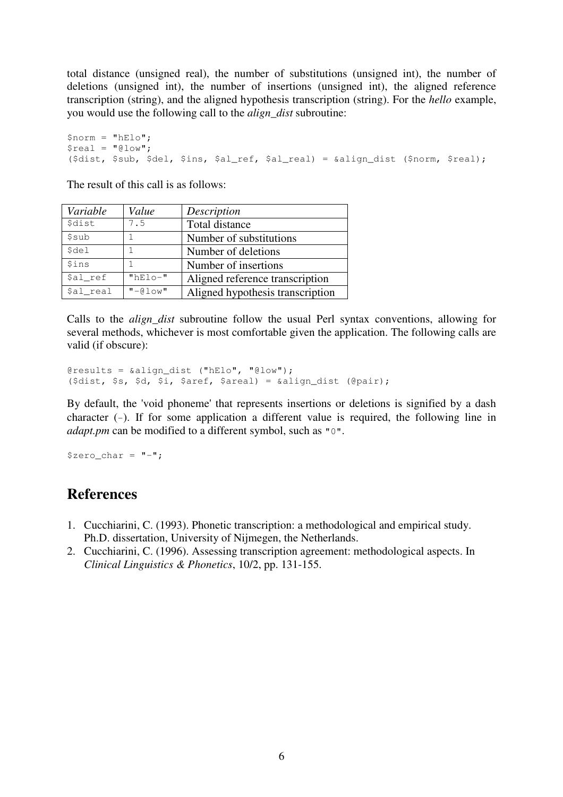total distance (unsigned real), the number of substitutions (unsigned int), the number of deletions (unsigned int), the number of insertions (unsigned int), the aligned reference transcription (string), and the aligned hypothesis transcription (string). For the *hello* example, you would use the following call to the *align\_dist* subroutine:

```
$norm = "hElo";
$real = "Qlow";($dist, $sub, $del, $ins, $al_ref, $al_real) = &align_dist ($norm, $real);
```
The result of this call is as follows:

| Variable             | Value      | Description                      |
|----------------------|------------|----------------------------------|
| <i><b>\$dist</b></i> | 7.5        | Total distance                   |
| \$sub                |            | Number of substitutions          |
| \$del                |            | Number of deletions              |
| <i><b>Sins</b></i>   | 1.         | Number of insertions             |
| \$al ref             | $"hE1o-"$  | Aligned reference transcription  |
| \$al real            | $"$ -@low" | Aligned hypothesis transcription |

Calls to the *align\_dist* subroutine follow the usual Perl syntax conventions, allowing for several methods, whichever is most comfortable given the application. The following calls are valid (if obscure):

```
@results = &align_dist ("hElo", "@low");
($dist, $s, $d, $i, $aref, $areal) = &align_dist (@pair);
```
By default, the 'void phoneme' that represents insertions or deletions is signified by a dash character (-). If for some application a different value is required, the following line in *adapt.pm* can be modified to a different symbol, such as "0".

 $$zero\_char = "-";$ 

### **References**

- 1. Cucchiarini, C. (1993). Phonetic transcription: a methodological and empirical study. Ph.D. dissertation, University of Nijmegen, the Netherlands.
- 2. Cucchiarini, C. (1996). Assessing transcription agreement: methodological aspects. In *Clinical Linguistics & Phonetics*, 10/2, pp. 131-155.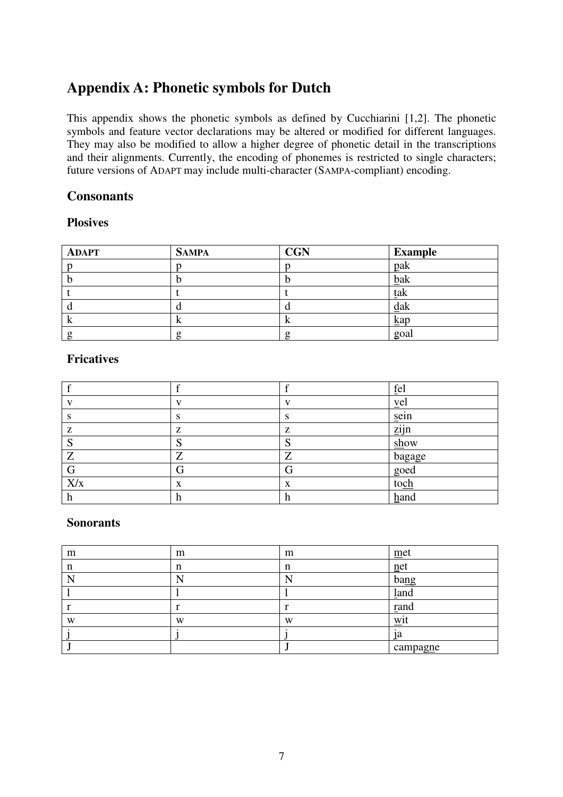## **Appendix A: Phonetic symbols for Dutch**

This appendix shows the phonetic symbols as defined by Cucchiarini [1,2]. The phonetic symbols and feature vector declarations may be altered or modified for different languages. They may also be modified to allow a higher degree of phonetic detail in the transcriptions and their alignments. Currently, the encoding of phonemes is restricted to single characters; future versions of ADAPT may include multi-character (SAMPA-compliant) encoding.

#### **Consonants**

#### **Plosives**

| <b>ADAPT</b> | <b>SAMPA</b> | <b>CGN</b> | <b>Example</b> |
|--------------|--------------|------------|----------------|
|              |              |            | pak            |
|              |              |            | bak            |
|              |              |            | tak            |
|              |              |            | dak            |
|              | r            |            | $\mathbf{kap}$ |
|              |              |            | goal           |

#### **Fricatives**

|     |    |              | fel                |
|-----|----|--------------|--------------------|
|     |    | $\mathbf{V}$ | yel                |
|     | э. | S            | sein               |
| Z   | z  | z            | $\overline{z}$ ijn |
| C   |    |              | show               |
| Z   | 7  | 7            | bagage             |
| G   | G  |              | goed               |
| X/x | X  | X            | toch               |
| h   | h  | h            | hand               |

#### **Sonorants**

| m | m | m | $m$ et   |
|---|---|---|----------|
| n | n | n | net      |
|   |   |   | bang     |
|   |   |   | land     |
|   |   |   | rand     |
| W | W | W | W1       |
|   |   |   | 1a       |
|   |   |   | campagne |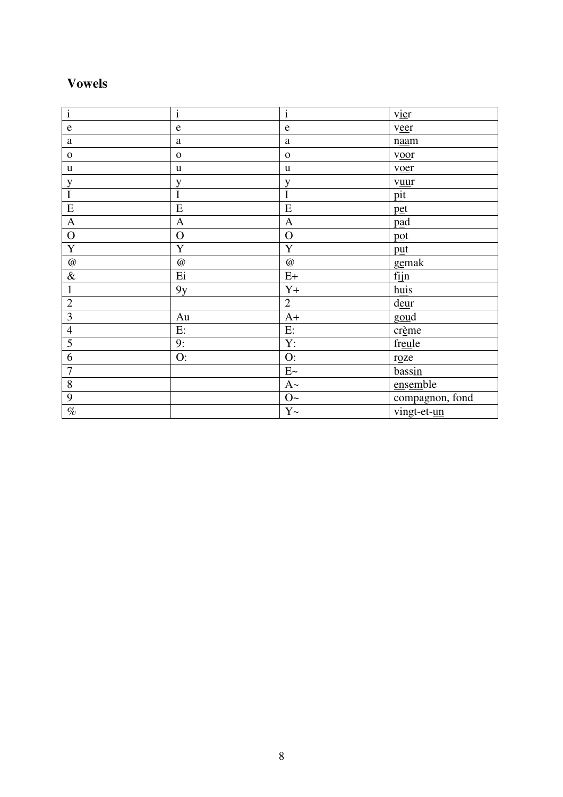# **Vowels**

| $\overline{i}$            | $\overline{i}$                | $\mathbf{i}$   | vier            |
|---------------------------|-------------------------------|----------------|-----------------|
| ${\bf e}$                 | $\mathbf e$                   | $\mathbf e$    | veer            |
| a                         | $\mathbf{a}$                  | a              | naam            |
| $\mathbf O$               | $\mathbf{o}$                  | $\mathbf{o}$   | voor            |
| $\mathbf u$               | u                             | $\mathbf u$    | voer            |
| $\mathbf y$               | y                             | y              | vuur            |
| $\mathbf I$               | $\overline{I}$                | $\overline{I}$ | pit             |
| ${\bf E}$                 | ${\bf E}$                     | E              | pet             |
| $\mathbf A$               | $\mathbf{A}$                  | $\mathbf{A}$   | pad             |
| $\mathbf O$               | $\overline{O}$                | $\mathbf O$    | pot             |
| $\overline{\mathbf{Y}}$   | $\overline{Y}$                | $\mathbf Y$    | put             |
| $^\text{\textregistered}$ | $\textcircled{\scriptsize a}$ | $\cal{Q}$      | gemak           |
| $\&$                      | Ei                            | $E+$           | fijn            |
| $\mathbf{1}$              | 9y                            | $Y+$           | huis            |
| $\overline{2}$            |                               | $\overline{2}$ | deur            |
| $\overline{\mathbf{3}}$   | Au                            | $A+$           | goud            |
| $\overline{4}$            | E:                            | E:             | crème           |
| 5                         | 9:                            | Y:             | freule          |
| $\overline{6}$            | O:                            | O:             | roze            |
| $\overline{7}$            |                               | E~             | bassin          |
| $8\,$                     |                               | $A\sim$        | ensemble        |
| 9                         |                               | $O\sim$        | compagnon, fond |
| $\%$                      |                               | $Y \sim$       | vingt-et-un     |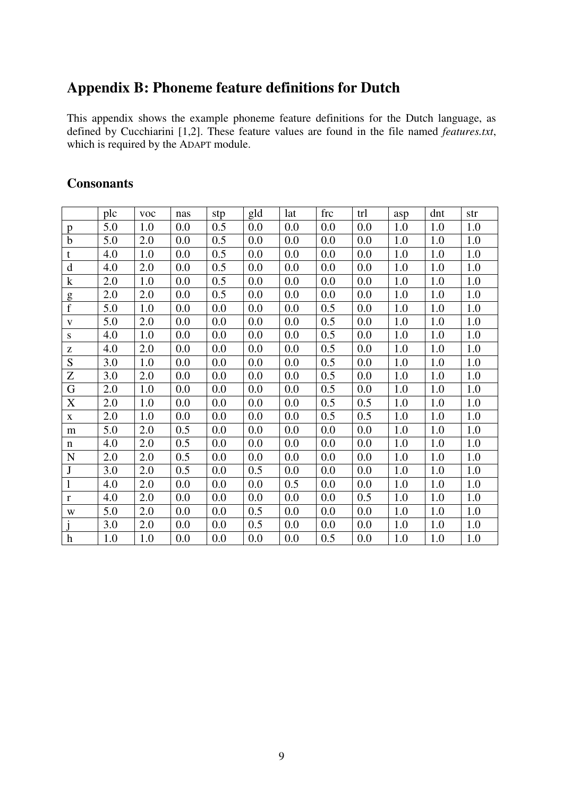# **Appendix B: Phoneme feature definitions for Dutch**

This appendix shows the example phoneme feature definitions for the Dutch language, as defined by Cucchiarini [1,2]. These feature values are found in the file named *features.txt*, which is required by the ADAPT module.

#### **Consonants**

|                | plc | <b>VOC</b> | nas | stp | gld | lat | frc | trl | asp | dnt | str |
|----------------|-----|------------|-----|-----|-----|-----|-----|-----|-----|-----|-----|
| p              | 5.0 | 1.0        | 0.0 | 0.5 | 0.0 | 0.0 | 0.0 | 0.0 | 1.0 | 1.0 | 1.0 |
| $\mathbf b$    | 5.0 | 2.0        | 0.0 | 0.5 | 0.0 | 0.0 | 0.0 | 0.0 | 1.0 | 1.0 | 1.0 |
| t              | 4.0 | 1.0        | 0.0 | 0.5 | 0.0 | 0.0 | 0.0 | 0.0 | 1.0 | 1.0 | 1.0 |
| $\mathbf d$    | 4.0 | 2.0        | 0.0 | 0.5 | 0.0 | 0.0 | 0.0 | 0.0 | 1.0 | 1.0 | 1.0 |
| $\mathbf k$    | 2.0 | 1.0        | 0.0 | 0.5 | 0.0 | 0.0 | 0.0 | 0.0 | 1.0 | 1.0 | 1.0 |
| g              | 2.0 | 2.0        | 0.0 | 0.5 | 0.0 | 0.0 | 0.0 | 0.0 | 1.0 | 1.0 | 1.0 |
| $\overline{f}$ | 5.0 | 1.0        | 0.0 | 0.0 | 0.0 | 0.0 | 0.5 | 0.0 | 1.0 | 1.0 | 1.0 |
| V              | 5.0 | 2.0        | 0.0 | 0.0 | 0.0 | 0.0 | 0.5 | 0.0 | 1.0 | 1.0 | 1.0 |
| S              | 4.0 | 1.0        | 0.0 | 0.0 | 0.0 | 0.0 | 0.5 | 0.0 | 1.0 | 1.0 | 1.0 |
| Z              | 4.0 | 2.0        | 0.0 | 0.0 | 0.0 | 0.0 | 0.5 | 0.0 | 1.0 | 1.0 | 1.0 |
| S              | 3.0 | 1.0        | 0.0 | 0.0 | 0.0 | 0.0 | 0.5 | 0.0 | 1.0 | 1.0 | 1.0 |
| Z              | 3.0 | 2.0        | 0.0 | 0.0 | 0.0 | 0.0 | 0.5 | 0.0 | 1.0 | 1.0 | 1.0 |
| G              | 2.0 | 1.0        | 0.0 | 0.0 | 0.0 | 0.0 | 0.5 | 0.0 | 1.0 | 1.0 | 1.0 |
| $\mathbf X$    | 2.0 | 1.0        | 0.0 | 0.0 | 0.0 | 0.0 | 0.5 | 0.5 | 1.0 | 1.0 | 1.0 |
| $\mathbf X$    | 2.0 | 1.0        | 0.0 | 0.0 | 0.0 | 0.0 | 0.5 | 0.5 | 1.0 | 1.0 | 1.0 |
| m              | 5.0 | 2.0        | 0.5 | 0.0 | 0.0 | 0.0 | 0.0 | 0.0 | 1.0 | 1.0 | 1.0 |
| n              | 4.0 | 2.0        | 0.5 | 0.0 | 0.0 | 0.0 | 0.0 | 0.0 | 1.0 | 1.0 | 1.0 |
| ${\bf N}$      | 2.0 | 2.0        | 0.5 | 0.0 | 0.0 | 0.0 | 0.0 | 0.0 | 1.0 | 1.0 | 1.0 |
| J              | 3.0 | 2.0        | 0.5 | 0.0 | 0.5 | 0.0 | 0.0 | 0.0 | 1.0 | 1.0 | 1.0 |
| $\mathbf{1}$   | 4.0 | 2.0        | 0.0 | 0.0 | 0.0 | 0.5 | 0.0 | 0.0 | 1.0 | 1.0 | 1.0 |
| $\bf r$        | 4.0 | 2.0        | 0.0 | 0.0 | 0.0 | 0.0 | 0.0 | 0.5 | 1.0 | 1.0 | 1.0 |
| W              | 5.0 | 2.0        | 0.0 | 0.0 | 0.5 | 0.0 | 0.0 | 0.0 | 1.0 | 1.0 | 1.0 |
|                | 3.0 | 2.0        | 0.0 | 0.0 | 0.5 | 0.0 | 0.0 | 0.0 | 1.0 | 1.0 | 1.0 |
| h              | 1.0 | 1.0        | 0.0 | 0.0 | 0.0 | 0.0 | 0.5 | 0.0 | 1.0 | 1.0 | 1.0 |